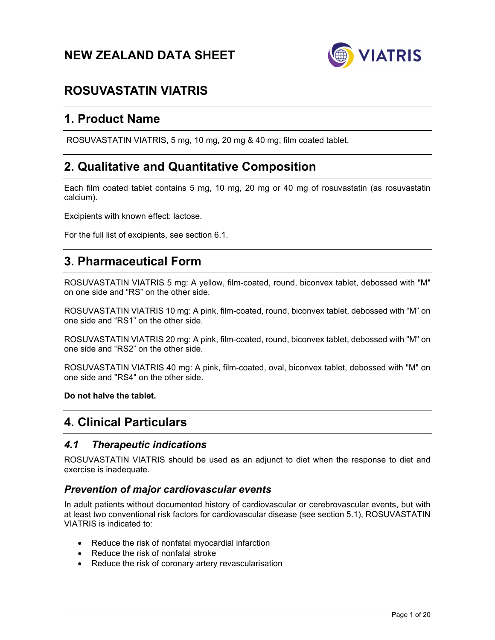# **NEW ZEALAND DATA SHEET**



# **ROSUVASTATIN VIATRIS**

# **1. Product Name**

ROSUVASTATIN VIATRIS, 5 mg, 10 mg, 20 mg & 40 mg, film coated tablet.

# **2. Qualitative and Quantitative Composition**

Each film coated tablet contains 5 mg, 10 mg, 20 mg or 40 mg of rosuvastatin (as rosuvastatin calcium).

Excipients with known effect: lactose.

For the full list of excipients, see section 6.1.

# **3. Pharmaceutical Form**

ROSUVASTATIN VIATRIS 5 mg: A yellow, film-coated, round, biconvex tablet, debossed with "M" on one side and "RS" on the other side.

ROSUVASTATIN VIATRIS 10 mg: A pink, film-coated, round, biconvex tablet, debossed with "M" on one side and "RS1" on the other side.

ROSUVASTATIN VIATRIS 20 mg: A pink, film-coated, round, biconvex tablet, debossed with "M" on one side and "RS2" on the other side.

ROSUVASTATIN VIATRIS 40 mg: A pink, film-coated, oval, biconvex tablet, debossed with "M" on one side and "RS4" on the other side.

**Do not halve the tablet.** 

# **4. Clinical Particulars**

# *4.1 Therapeutic indications*

ROSUVASTATIN VIATRIS should be used as an adjunct to diet when the response to diet and exercise is inadequate.

# *Prevention of major cardiovascular events*

In adult patients without documented history of cardiovascular or cerebrovascular events, but with at least two conventional risk factors for cardiovascular disease (see section 5.1), ROSUVASTATIN VIATRIS is indicated to:

- Reduce the risk of nonfatal myocardial infarction
- Reduce the risk of nonfatal stroke
- Reduce the risk of coronary artery revascularisation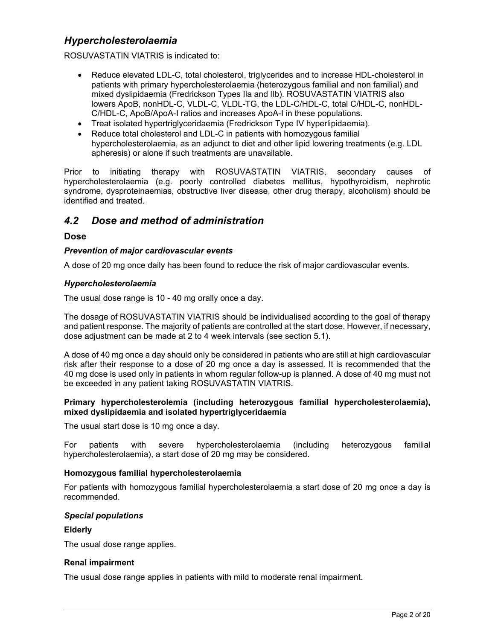# *Hypercholesterolaemia*

ROSUVASTATIN VIATRIS is indicated to:

- Reduce elevated LDL-C, total cholesterol, triglycerides and to increase HDL-cholesterol in patients with primary hypercholesterolaemia (heterozygous familial and non familial) and mixed dyslipidaemia (Fredrickson Types Ila and lIb). ROSUVASTATIN VIATRIS also lowers ApoB, nonHDL-C, VLDL-C, VLDL-TG, the LDL-C/HDL-C, total C/HDL-C, nonHDL-C/HDL-C, ApoB/ApoA-I ratios and increases ApoA-I in these populations.
- Treat isolated hypertriglyceridaemia (Fredrickson Type IV hyperlipidaemia).
- Reduce total cholesterol and LDL-C in patients with homozygous familial hypercholesterolaemia, as an adjunct to diet and other lipid lowering treatments (e.g. LDL apheresis) or alone if such treatments are unavailable.

Prior to initiating therapy with ROSUVASTATIN VIATRIS, secondary causes of hypercholesterolaemia (e.g. poorly controlled diabetes mellitus, hypothyroidism, nephrotic syndrome, dysproteinaemias, obstructive liver disease, other drug therapy, alcoholism) should be identified and treated.

# *4.2 Dose and method of administration*

# **Dose**

## *Prevention of major cardiovascular events*

A dose of 20 mg once daily has been found to reduce the risk of major cardiovascular events.

## *Hypercholesterolaemia*

The usual dose range is 10 - 40 mg orally once a day.

The dosage of ROSUVASTATIN VIATRIS should be individualised according to the goal of therapy and patient response. The majority of patients are controlled at the start dose. However, if necessary, dose adjustment can be made at 2 to 4 week intervals (see section 5.1).

A dose of 40 mg once a day should only be considered in patients who are still at high cardiovascular risk after their response to a dose of 20 mg once a day is assessed. It is recommended that the 40 mg dose is used only in patients in whom regular follow-up is planned. A dose of 40 mg must not be exceeded in any patient taking ROSUVASTATIN VIATRIS.

#### **Primary hypercholesterolemia (including heterozygous familial hypercholesterolaemia), mixed dyslipidaemia and isolated hypertriglyceridaemia**

The usual start dose is 10 mg once a day.

For patients with severe hypercholesterolaemia (including heterozygous familial hypercholesterolaemia), a start dose of 20 mg may be considered.

## **Homozygous familial hypercholesterolaemia**

For patients with homozygous familial hypercholesterolaemia a start dose of 20 mg once a day is recommended.

## *Special populations*

#### **Elderly**

The usual dose range applies.

## **Renal impairment**

The usual dose range applies in patients with mild to moderate renal impairment.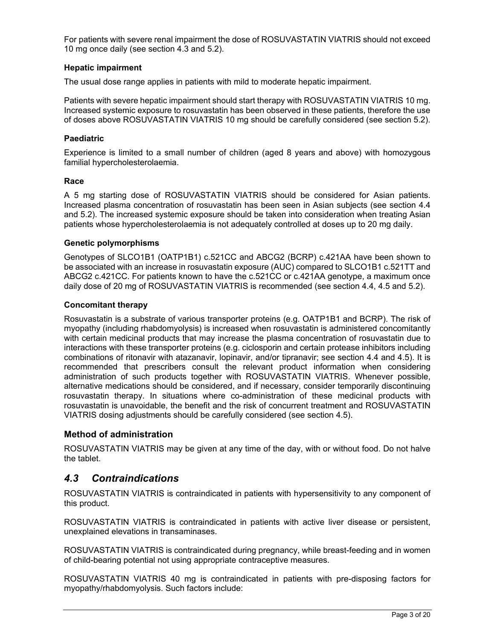For patients with severe renal impairment the dose of ROSUVASTATIN VIATRIS should not exceed 10 mg once daily (see section 4.3 and 5.2).

### **Hepatic impairment**

The usual dose range applies in patients with mild to moderate hepatic impairment.

Patients with severe hepatic impairment should start therapy with ROSUVASTATIN VIATRIS 10 mg. Increased systemic exposure to rosuvastatin has been observed in these patients, therefore the use of doses above ROSUVASTATIN VIATRIS 10 mg should be carefully considered (see section 5.2).

### **Paediatric**

Experience is limited to a small number of children (aged 8 years and above) with homozygous familial hypercholesterolaemia.

#### **Race**

A 5 mg starting dose of ROSUVASTATIN VIATRIS should be considered for Asian patients. Increased plasma concentration of rosuvastatin has been seen in Asian subjects (see section 4.4 and 5.2). The increased systemic exposure should be taken into consideration when treating Asian patients whose hypercholesterolaemia is not adequately controlled at doses up to 20 mg daily.

#### **Genetic polymorphisms**

Genotypes of SLCO1B1 (OATP1B1) c.521CC and ABCG2 (BCRP) c.421AA have been shown to be associated with an increase in rosuvastatin exposure (AUC) compared to SLCO1B1 c.521TT and ABCG2 c.421CC. For patients known to have the c.521CC or c.421AA genotype, a maximum once daily dose of 20 mg of ROSUVASTATIN VIATRIS is recommended (see section 4.4, 4.5 and 5.2).

#### **Concomitant therapy**

Rosuvastatin is a substrate of various transporter proteins (e.g. OATP1B1 and BCRP). The risk of myopathy (including rhabdomyolysis) is increased when rosuvastatin is administered concomitantly with certain medicinal products that may increase the plasma concentration of rosuvastatin due to interactions with these transporter proteins (e.g. ciclosporin and certain protease inhibitors including combinations of ritonavir with atazanavir, lopinavir, and/or tipranavir; see section 4.4 and 4.5). It is recommended that prescribers consult the relevant product information when considering administration of such products together with ROSUVASTATIN VIATRIS. Whenever possible, alternative medications should be considered, and if necessary, consider temporarily discontinuing rosuvastatin therapy. In situations where co-administration of these medicinal products with rosuvastatin is unavoidable, the benefit and the risk of concurrent treatment and ROSUVASTATIN VIATRIS dosing adjustments should be carefully considered (see section 4.5).

## **Method of administration**

ROSUVASTATIN VIATRIS may be given at any time of the day, with or without food. Do not halve the tablet.

# *4.3 Contraindications*

ROSUVASTATIN VIATRIS is contraindicated in patients with hypersensitivity to any component of this product.

ROSUVASTATIN VIATRIS is contraindicated in patients with active liver disease or persistent, unexplained elevations in transaminases.

ROSUVASTATIN VIATRIS is contraindicated during pregnancy, while breast-feeding and in women of child-bearing potential not using appropriate contraceptive measures.

ROSUVASTATIN VIATRIS 40 mg is contraindicated in patients with pre-disposing factors for myopathy/rhabdomyolysis. Such factors include: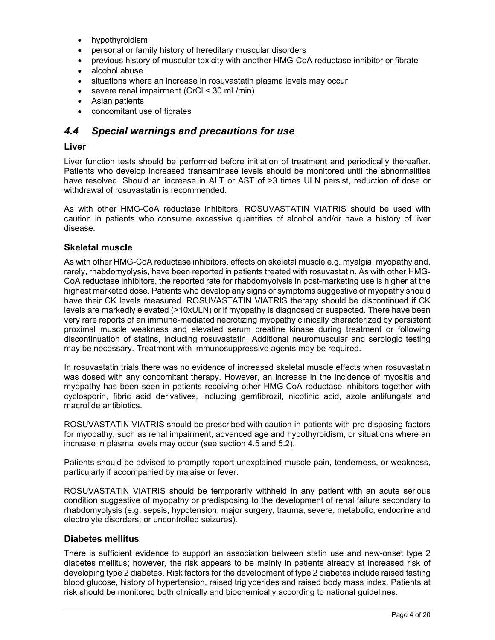- hypothyroidism
- personal or family history of hereditary muscular disorders
- previous history of muscular toxicity with another HMG-CoA reductase inhibitor or fibrate
- alcohol abuse
- situations where an increase in rosuvastatin plasma levels may occur
- severe renal impairment (CrCl < 30 mL/min)
- Asian patients
- concomitant use of fibrates

# *4.4 Special warnings and precautions for use*

# **Liver**

Liver function tests should be performed before initiation of treatment and periodically thereafter. Patients who develop increased transaminase levels should be monitored until the abnormalities have resolved. Should an increase in ALT or AST of >3 times ULN persist, reduction of dose or withdrawal of rosuvastatin is recommended.

As with other HMG-CoA reductase inhibitors, ROSUVASTATIN VIATRIS should be used with caution in patients who consume excessive quantities of alcohol and/or have a history of liver disease.

## **Skeletal muscle**

As with other HMG-CoA reductase inhibitors, effects on skeletal muscle e.g. myalgia, myopathy and, rarely, rhabdomyolysis, have been reported in patients treated with rosuvastatin. As with other HMG-CoA reductase inhibitors, the reported rate for rhabdomyolysis in post-marketing use is higher at the highest marketed dose. Patients who develop any signs or symptoms suggestive of myopathy should have their CK levels measured. ROSUVASTATIN VIATRIS therapy should be discontinued if CK levels are markedly elevated (>10xULN) or if myopathy is diagnosed or suspected. There have been very rare reports of an immune-mediated necrotizing myopathy clinically characterized by persistent proximal muscle weakness and elevated serum creatine kinase during treatment or following discontinuation of statins, including rosuvastatin. Additional neuromuscular and serologic testing may be necessary. Treatment with immunosuppressive agents may be required.

In rosuvastatin trials there was no evidence of increased skeletal muscle effects when rosuvastatin was dosed with any concomitant therapy. However, an increase in the incidence of myositis and myopathy has been seen in patients receiving other HMG-CoA reductase inhibitors together with cyclosporin, fibric acid derivatives, including gemfibrozil, nicotinic acid, azole antifungals and macrolide antibiotics.

ROSUVASTATIN VIATRIS should be prescribed with caution in patients with pre-disposing factors for myopathy, such as renal impairment, advanced age and hypothyroidism, or situations where an increase in plasma levels may occur (see section 4.5 and 5.2).

Patients should be advised to promptly report unexplained muscle pain, tenderness, or weakness, particularly if accompanied by malaise or fever.

ROSUVASTATIN VIATRIS should be temporarily withheld in any patient with an acute serious condition suggestive of myopathy or predisposing to the development of renal failure secondary to rhabdomyolysis (e.g. sepsis, hypotension, major surgery, trauma, severe, metabolic, endocrine and electrolyte disorders; or uncontrolled seizures).

## **Diabetes mellitus**

There is sufficient evidence to support an association between statin use and new-onset type 2 diabetes mellitus; however, the risk appears to be mainly in patients already at increased risk of developing type 2 diabetes. Risk factors for the development of type 2 diabetes include raised fasting blood glucose, history of hypertension, raised triglycerides and raised body mass index. Patients at risk should be monitored both clinically and biochemically according to national guidelines.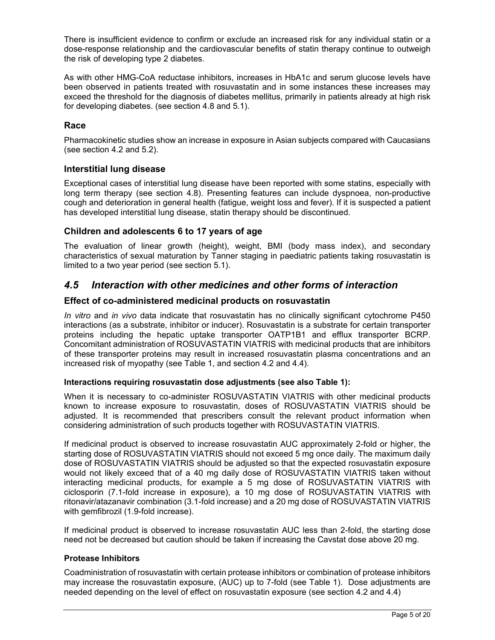There is insufficient evidence to confirm or exclude an increased risk for any individual statin or a dose-response relationship and the cardiovascular benefits of statin therapy continue to outweigh the risk of developing type 2 diabetes.

As with other HMG-CoA reductase inhibitors, increases in HbA1c and serum glucose levels have been observed in patients treated with rosuvastatin and in some instances these increases may exceed the threshold for the diagnosis of diabetes mellitus, primarily in patients already at high risk for developing diabetes. (see section 4.8 and 5.1).

# **Race**

Pharmacokinetic studies show an increase in exposure in Asian subjects compared with Caucasians (see section 4.2 and 5.2).

# **Interstitial lung disease**

Exceptional cases of interstitial lung disease have been reported with some statins, especially with long term therapy (see section 4.8). Presenting features can include dyspnoea, non-productive cough and deterioration in general health (fatigue, weight loss and fever). If it is suspected a patient has developed interstitial lung disease, statin therapy should be discontinued.

# **Children and adolescents 6 to 17 years of age**

The evaluation of linear growth (height), weight, BMI (body mass index), and secondary characteristics of sexual maturation by Tanner staging in paediatric patients taking rosuvastatin is limited to a two year period (see section 5.1).

# *4.5 Interaction with other medicines and other forms of interaction*

# **Effect of co-administered medicinal products on rosuvastatin**

*In vitro* and *in vivo* data indicate that rosuvastatin has no clinically significant cytochrome P450 interactions (as a substrate, inhibitor or inducer). Rosuvastatin is a substrate for certain transporter proteins including the hepatic uptake transporter OATP1B1 and efflux transporter BCRP. Concomitant administration of ROSUVASTATIN VIATRIS with medicinal products that are inhibitors of these transporter proteins may result in increased rosuvastatin plasma concentrations and an increased risk of myopathy (see Table 1, and section 4.2 and 4.4).

## **Interactions requiring rosuvastatin dose adjustments (see also Table 1):**

When it is necessary to co-administer ROSUVASTATIN VIATRIS with other medicinal products known to increase exposure to rosuvastatin, doses of ROSUVASTATIN VIATRIS should be adjusted. It is recommended that prescribers consult the relevant product information when considering administration of such products together with ROSUVASTATIN VIATRIS.

If medicinal product is observed to increase rosuvastatin AUC approximately 2-fold or higher, the starting dose of ROSUVASTATIN VIATRIS should not exceed 5 mg once daily. The maximum daily dose of ROSUVASTATIN VIATRIS should be adjusted so that the expected rosuvastatin exposure would not likely exceed that of a 40 mg daily dose of ROSUVASTATIN VIATRIS taken without interacting medicinal products, for example a 5 mg dose of ROSUVASTATIN VIATRIS with ciclosporin (7.1-fold increase in exposure), a 10 mg dose of ROSUVASTATIN VIATRIS with ritonavir/atazanavir combination (3.1-fold increase) and a 20 mg dose of ROSUVASTATIN VIATRIS with gemfibrozil (1.9-fold increase).

If medicinal product is observed to increase rosuvastatin AUC less than 2-fold, the starting dose need not be decreased but caution should be taken if increasing the Cavstat dose above 20 mg.

## **Protease Inhibitors**

Coadministration of rosuvastatin with certain protease inhibitors or combination of protease inhibitors may increase the rosuvastatin exposure, (AUC) up to 7-fold (see Table 1). Dose adjustments are needed depending on the level of effect on rosuvastatin exposure (see section 4.2 and 4.4)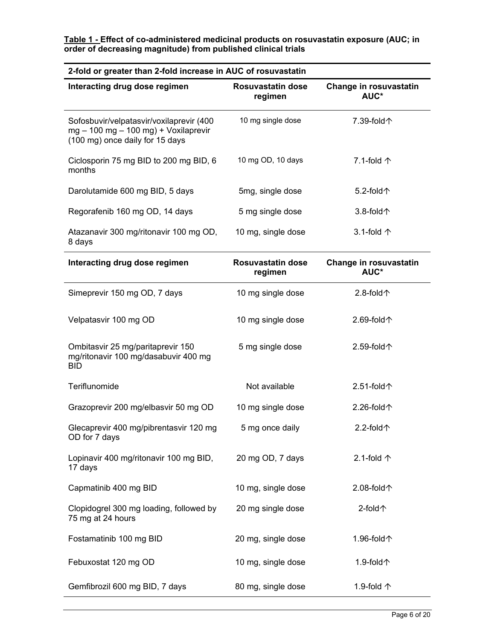| 2-fold or greater than 2-fold increase in AUC of rosuvastatin                                                        |                                     |                                |  |  |  |  |  |  |
|----------------------------------------------------------------------------------------------------------------------|-------------------------------------|--------------------------------|--|--|--|--|--|--|
| Interacting drug dose regimen                                                                                        | Rosuvastatin dose<br>regimen        | Change in rosuvastatin<br>AUC* |  |  |  |  |  |  |
| Sofosbuvir/velpatasvir/voxilaprevir (400<br>$mg - 100 mg - 100 mg$ + Voxilaprevir<br>(100 mg) once daily for 15 days | 10 mg single dose                   | 7.39-fold个                     |  |  |  |  |  |  |
| Ciclosporin 75 mg BID to 200 mg BID, 6<br>months                                                                     | 10 mg OD, 10 days                   | 7.1-fold $\uparrow$            |  |  |  |  |  |  |
| Darolutamide 600 mg BID, 5 days                                                                                      | 5mg, single dose                    | 5.2-fold $\uparrow$            |  |  |  |  |  |  |
| Regorafenib 160 mg OD, 14 days                                                                                       | 5 mg single dose                    | $3.8-fold+$                    |  |  |  |  |  |  |
| Atazanavir 300 mg/ritonavir 100 mg OD,<br>8 days                                                                     | 10 mg, single dose                  | 3.1-fold $\uparrow$            |  |  |  |  |  |  |
| Interacting drug dose regimen                                                                                        | <b>Rosuvastatin dose</b><br>regimen | Change in rosuvastatin<br>AUC* |  |  |  |  |  |  |
| Simeprevir 150 mg OD, 7 days                                                                                         | 10 mg single dose                   | 2.8-fold $\uparrow$            |  |  |  |  |  |  |
| Velpatasvir 100 mg OD                                                                                                | 10 mg single dose                   | 2.69-fold个                     |  |  |  |  |  |  |
| Ombitasvir 25 mg/paritaprevir 150<br>mg/ritonavir 100 mg/dasabuvir 400 mg<br>BID                                     | 5 mg single dose                    | 2.59-fold个                     |  |  |  |  |  |  |
| Teriflunomide                                                                                                        | Not available                       | 2.51-fold个                     |  |  |  |  |  |  |
| Grazoprevir 200 mg/elbasvir 50 mg OD                                                                                 | 10 mg single dose                   | 2.26-fold个                     |  |  |  |  |  |  |
| Glecaprevir 400 mg/pibrentasvir 120 mg<br>OD for 7 days                                                              | 5 mg once daily                     | 2.2-fold个                      |  |  |  |  |  |  |
| Lopinavir 400 mg/ritonavir 100 mg BID,<br>17 days                                                                    | 20 mg OD, 7 days                    | 2.1-fold $\uparrow$            |  |  |  |  |  |  |
| Capmatinib 400 mg BID                                                                                                | 10 mg, single dose                  | 2.08-fold个                     |  |  |  |  |  |  |
| Clopidogrel 300 mg loading, followed by<br>75 mg at 24 hours                                                         | 20 mg single dose                   | 2-fold个                        |  |  |  |  |  |  |
| Fostamatinib 100 mg BID                                                                                              | 20 mg, single dose                  | 1.96-fold个                     |  |  |  |  |  |  |
| Febuxostat 120 mg OD                                                                                                 | 10 mg, single dose                  | 1.9-fold个                      |  |  |  |  |  |  |
| Gemfibrozil 600 mg BID, 7 days                                                                                       | 80 mg, single dose                  | 1.9-fold 个                     |  |  |  |  |  |  |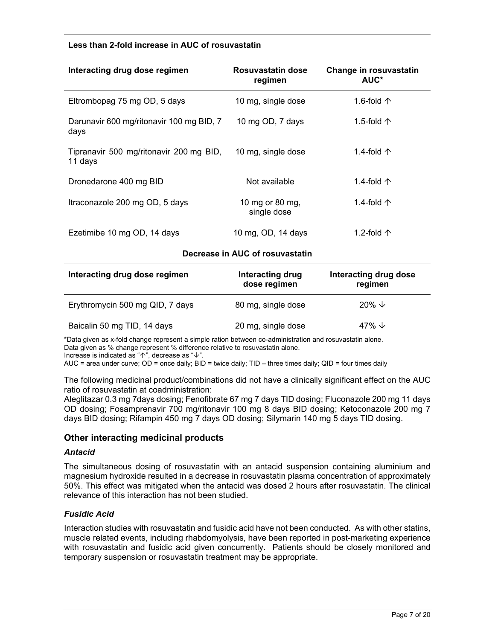#### **Less than 2-fold increase in AUC of rosuvastatin**

| Interacting drug dose regimen                      | Rosuvastatin dose<br>regimen   | Change in rosuvastatin<br>AUC* |
|----------------------------------------------------|--------------------------------|--------------------------------|
| Eltrombopag 75 mg OD, 5 days                       | 10 mg, single dose             | 1.6-fold $\uparrow$            |
| Darunavir 600 mg/ritonavir 100 mg BID, 7<br>days   | 10 mg OD, 7 days               | 1.5-fold $\uparrow$            |
| Tipranavir 500 mg/ritonavir 200 mg BID,<br>11 days | 10 mg, single dose             | 1.4-fold $\uparrow$            |
| Dronedarone 400 mg BID                             | Not available                  | 1.4-fold $\uparrow$            |
| Itraconazole 200 mg OD, 5 days                     | 10 mg or 80 mg,<br>single dose | 1.4-fold $\uparrow$            |
| Ezetimibe 10 mg OD, 14 days                        | 10 mg, OD, 14 days             | 1.2-fold $\uparrow$            |

#### **Decrease in AUC of rosuvastatin**

| Interacting drug dose regimen   | Interacting drug<br>dose regimen | Interacting drug dose<br>regimen |  |  |
|---------------------------------|----------------------------------|----------------------------------|--|--|
| Erythromycin 500 mg QID, 7 days | 80 mg, single dose               | $20\% \t\vee$                    |  |  |
| Baicalin 50 mg TID, 14 days     | 20 mg, single dose               | 47% $\downarrow$                 |  |  |

\*Data given as x-fold change represent a simple ration between co-administration and rosuvastatin alone. Data given as % change represent % difference relative to rosuvastatin alone. Increase is indicated as " $\uparrow$ ", decrease as " $\downarrow$ ".

AUC = area under curve; OD = once daily; BID = twice daily; TID – three times daily; QID = four times daily

The following medicinal product/combinations did not have a clinically significant effect on the AUC ratio of rosuvastatin at coadministration:

Aleglitazar 0.3 mg 7days dosing; Fenofibrate 67 mg 7 days TID dosing; Fluconazole 200 mg 11 days OD dosing; Fosamprenavir 700 mg/ritonavir 100 mg 8 days BID dosing; Ketoconazole 200 mg 7 days BID dosing; Rifampin 450 mg 7 days OD dosing; Silymarin 140 mg 5 days TID dosing.

## **Other interacting medicinal products**

#### *Antacid*

The simultaneous dosing of rosuvastatin with an antacid suspension containing aluminium and magnesium hydroxide resulted in a decrease in rosuvastatin plasma concentration of approximately 50%. This effect was mitigated when the antacid was dosed 2 hours after rosuvastatin. The clinical relevance of this interaction has not been studied.

#### *Fusidic Acid*

Interaction studies with rosuvastatin and fusidic acid have not been conducted. As with other statins, muscle related events, including rhabdomyolysis, have been reported in post-marketing experience with rosuvastatin and fusidic acid given concurrently. Patients should be closely monitored and temporary suspension or rosuvastatin treatment may be appropriate.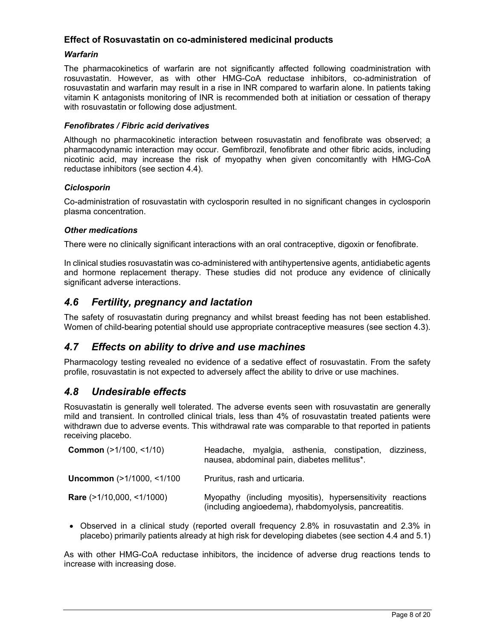# **Effect of Rosuvastatin on co-administered medicinal products**

## *Warfarin*

The pharmacokinetics of warfarin are not significantly affected following coadministration with rosuvastatin. However, as with other HMG-CoA reductase inhibitors, co-administration of rosuvastatin and warfarin may result in a rise in INR compared to warfarin alone. In patients taking vitamin K antagonists monitoring of INR is recommended both at initiation or cessation of therapy with rosuvastatin or following dose adjustment.

#### *Fenofibrates / Fibric acid derivatives*

Although no pharmacokinetic interaction between rosuvastatin and fenofibrate was observed; a pharmacodynamic interaction may occur. Gemfibrozil, fenofibrate and other fibric acids, including nicotinic acid, may increase the risk of myopathy when given concomitantly with HMG-CoA reductase inhibitors (see section 4.4).

#### *Ciclosporin*

Co-administration of rosuvastatin with cyclosporin resulted in no significant changes in cyclosporin plasma concentration.

#### *Other medications*

There were no clinically significant interactions with an oral contraceptive, digoxin or fenofibrate.

In clinical studies rosuvastatin was co-administered with antihypertensive agents, antidiabetic agents and hormone replacement therapy. These studies did not produce any evidence of clinically significant adverse interactions.

# *4.6 Fertility, pregnancy and lactation*

The safety of rosuvastatin during pregnancy and whilst breast feeding has not been established. Women of child-bearing potential should use appropriate contraceptive measures (see section 4.3).

# *4.7 Effects on ability to drive and use machines*

Pharmacology testing revealed no evidence of a sedative effect of rosuvastatin. From the safety profile, rosuvastatin is not expected to adversely affect the ability to drive or use machines.

# *4.8 Undesirable effects*

Rosuvastatin is generally well tolerated. The adverse events seen with rosuvastatin are generally mild and transient. In controlled clinical trials, less than 4% of rosuvastatin treated patients were withdrawn due to adverse events. This withdrawal rate was comparable to that reported in patients receiving placebo.

| <b>Common</b> (>1/100, <1/10)    | Headache, myalgia, asthenia, constipation, dizziness,<br>nausea, abdominal pain, diabetes mellitus*.               |
|----------------------------------|--------------------------------------------------------------------------------------------------------------------|
| Uncommon (>1/1000, <1/100        | Pruritus, rash and urticaria.                                                                                      |
| <b>Rare</b> (>1/10,000, <1/1000) | Myopathy (including myositis), hypersensitivity reactions<br>(including angioedema), rhabdomyolysis, pancreatitis. |

 Observed in a clinical study (reported overall frequency 2.8% in rosuvastatin and 2.3% in placebo) primarily patients already at high risk for developing diabetes (see section 4.4 and 5.1)

As with other HMG-CoA reductase inhibitors, the incidence of adverse drug reactions tends to increase with increasing dose.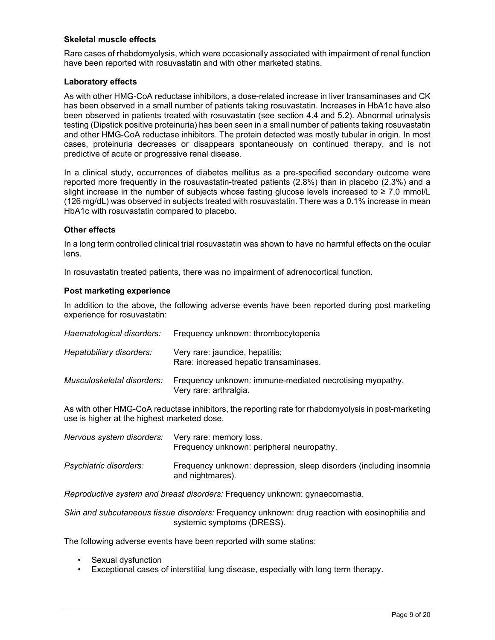## **Skeletal muscle effects**

Rare cases of rhabdomyolysis, which were occasionally associated with impairment of renal function have been reported with rosuvastatin and with other marketed statins.

### **Laboratory effects**

As with other HMG-CoA reductase inhibitors, a dose-related increase in liver transaminases and CK has been observed in a small number of patients taking rosuvastatin. Increases in HbA1c have also been observed in patients treated with rosuvastatin (see section 4.4 and 5.2). Abnormal urinalysis testing (Dipstick positive proteinuria) has been seen in a small number of patients taking rosuvastatin and other HMG-CoA reductase inhibitors. The protein detected was mostly tubular in origin. In most cases, proteinuria decreases or disappears spontaneously on continued therapy, and is not predictive of acute or progressive renal disease.

In a clinical study, occurrences of diabetes mellitus as a pre-specified secondary outcome were reported more frequently in the rosuvastatin-treated patients (2.8%) than in placebo (2.3%) and a slight increase in the number of subjects whose fasting glucose levels increased to  $\geq 7.0$  mmol/L (126 mg/dL) was observed in subjects treated with rosuvastatin. There was a 0.1% increase in mean HbA1c with rosuvastatin compared to placebo.

#### **Other effects**

In a long term controlled clinical trial rosuvastatin was shown to have no harmful effects on the ocular lens.

In rosuvastatin treated patients, there was no impairment of adrenocortical function.

#### **Post marketing experience**

In addition to the above, the following adverse events have been reported during post marketing experience for rosuvastatin:

| Haematological disorders:  | Frequency unknown: thrombocytopenia                                                |
|----------------------------|------------------------------------------------------------------------------------|
| Hepatobiliary disorders:   | Very rare: jaundice, hepatitis;<br>Rare: increased hepatic transaminases.          |
| Musculoskeletal disorders: | Frequency unknown: immune-mediated necrotising myopathy.<br>Very rare: arthralgia. |

As with other HMG-CoA reductase inhibitors, the reporting rate for rhabdomyolysis in post-marketing use is higher at the highest marketed dose.

| Nervous system disorders:     | Very rare: memory loss.<br>Frequency unknown: peripheral neuropathy.                   |
|-------------------------------|----------------------------------------------------------------------------------------|
| <i>Psychiatric disorders:</i> | Frequency unknown: depression, sleep disorders (including insomnia<br>and nightmares). |

*Reproductive system and breast disorders:* Frequency unknown: gynaecomastia.

*Skin and subcutaneous tissue disorders:* Frequency unknown: drug reaction with eosinophilia and systemic symptoms (DRESS).

The following adverse events have been reported with some statins:

- Sexual dysfunction
- Exceptional cases of interstitial lung disease, especially with long term therapy.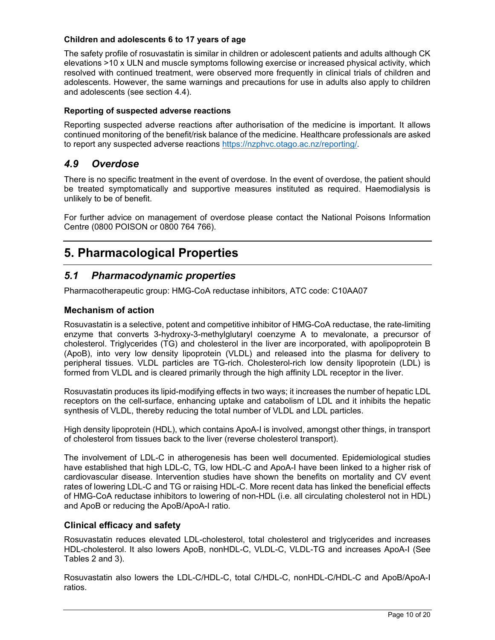# **Children and adolescents 6 to 17 years of age**

The safety profile of rosuvastatin is similar in children or adolescent patients and adults although CK elevations >10 x ULN and muscle symptoms following exercise or increased physical activity, which resolved with continued treatment, were observed more frequently in clinical trials of children and adolescents. However, the same warnings and precautions for use in adults also apply to children and adolescents (see section 4.4).

## **Reporting of suspected adverse reactions**

Reporting suspected adverse reactions after authorisation of the medicine is important. It allows continued monitoring of the benefit/risk balance of the medicine. Healthcare professionals are asked to report any suspected adverse reactions https://nzphvc.otago.ac.nz/reporting/.

# *4.9 Overdose*

There is no specific treatment in the event of overdose. In the event of overdose, the patient should be treated symptomatically and supportive measures instituted as required. Haemodialysis is unlikely to be of benefit.

For further advice on management of overdose please contact the National Poisons Information Centre (0800 POISON or 0800 764 766).

# **5. Pharmacological Properties**

# *5.1 Pharmacodynamic properties*

Pharmacotherapeutic group: HMG-CoA reductase inhibitors, ATC code: C10AA07

# **Mechanism of action**

Rosuvastatin is a selective, potent and competitive inhibitor of HMG-CoA reductase, the rate-limiting enzyme that converts 3-hydroxy-3-methylglutaryl coenzyme A to mevalonate, a precursor of cholesterol. Triglycerides (TG) and cholesterol in the liver are incorporated, with apolipoprotein B (ApoB), into very low density lipoprotein (VLDL) and released into the plasma for delivery to peripheral tissues. VLDL particles are TG-rich. Cholesterol-rich low density lipoprotein (LDL) is formed from VLDL and is cleared primarily through the high affinity LDL receptor in the liver.

Rosuvastatin produces its lipid-modifying effects in two ways; it increases the number of hepatic LDL receptors on the cell-surface, enhancing uptake and catabolism of LDL and it inhibits the hepatic synthesis of VLDL, thereby reducing the total number of VLDL and LDL particles.

High density lipoprotein (HDL), which contains ApoA-I is involved, amongst other things, in transport of cholesterol from tissues back to the liver (reverse cholesterol transport).

The involvement of LDL-C in atherogenesis has been well documented. Epidemiological studies have established that high LDL-C, TG, low HDL-C and ApoA-I have been linked to a higher risk of cardiovascular disease. Intervention studies have shown the benefits on mortality and CV event rates of lowering LDL-C and TG or raising HDL-C. More recent data has linked the beneficial effects of HMG-CoA reductase inhibitors to lowering of non-HDL (i.e. all circulating cholesterol not in HDL) and ApoB or reducing the ApoB/ApoA-I ratio.

# **Clinical efficacy and safety**

Rosuvastatin reduces elevated LDL-cholesterol, total cholesterol and triglycerides and increases HDL-cholesterol. It also lowers ApoB, nonHDL-C, VLDL-C, VLDL-TG and increases ApoA-I (See Tables 2 and 3).

Rosuvastatin also lowers the LDL-C/HDL-C, total C/HDL-C, nonHDL-C/HDL-C and ApoB/ApoA-I ratios.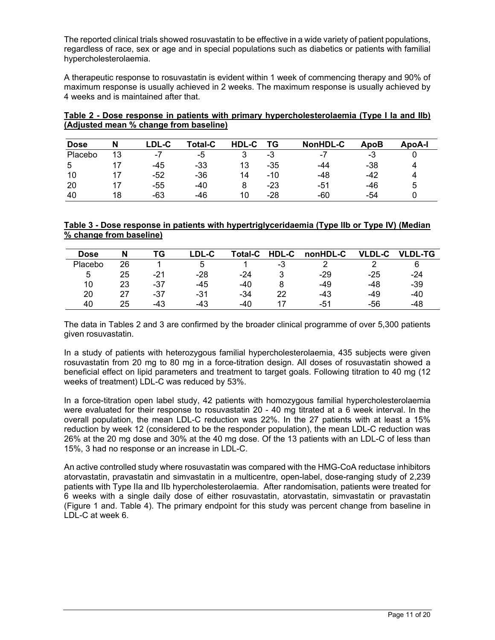The reported clinical trials showed rosuvastatin to be effective in a wide variety of patient populations, regardless of race, sex or age and in special populations such as diabetics or patients with familial hypercholesterolaemia.

A therapeutic response to rosuvastatin is evident within 1 week of commencing therapy and 90% of maximum response is usually achieved in 2 weeks. The maximum response is usually achieved by 4 weeks and is maintained after that.

| Table 2 - Dose response in patients with primary hypercholesterolaemia (Type I la and IIb) |  |  |
|--------------------------------------------------------------------------------------------|--|--|
| (Adjusted mean % change from baseline)                                                     |  |  |

| <b>Dose</b> | N  | _DL-C                    | <b>Total-C</b> | HDL-C | ТG    | NonHDL-C                 | ApoB | ApoA-l |
|-------------|----|--------------------------|----------------|-------|-------|--------------------------|------|--------|
| Placebo     | 13 | $\overline{\phantom{a}}$ | -5             |       | -3    | $\overline{\phantom{a}}$ | -3   |        |
|             |    | -45                      | -33            | 13    | $-35$ | -44                      | -38  |        |
| 10          |    | -52                      | $-36$          | 14    | $-10$ | -48                      | -42  |        |
| 20          |    | -55                      | -40            | 8     | -23   | -51                      | -46  | 5      |
| 40          | 18 | -63                      | -46            | 10    | $-28$ | -60                      | -54  |        |

## **Table 3 - Dose response in patients with hypertriglyceridaemia (Type lIb or Type IV) (Median % change from baseline)**

| Dose    |    | ТG    | ∟DL-C | <b>Total-C</b> | <b>HDL-C</b> | nonHDL-C | וח וע<br>-C | <b>VLDL-TG</b> |
|---------|----|-------|-------|----------------|--------------|----------|-------------|----------------|
| Placebo | 26 |       |       |                | - 3          |          |             |                |
| 5       | 25 | $-21$ | $-28$ | -24            |              | $-29$    | $-25$       | -24            |
| 10      | 23 | -37   | -45   | $-40$          |              | $-49$    | -48         | $-39$          |
| 20      | 27 | -37   | -31   | -34            | 22           | $-43$    | -49         | -40            |
| 40      | 25 | -43   | -43   | $-40$          |              | -51      | -56         | -48            |

The data in Tables 2 and 3 are confirmed by the broader clinical programme of over 5,300 patients given rosuvastatin.

In a study of patients with heterozygous familial hypercholesterolaemia, 435 subjects were given rosuvastatin from 20 mg to 80 mg in a force-titration design. All doses of rosuvastatin showed a beneficial effect on lipid parameters and treatment to target goals. Following titration to 40 mg (12 weeks of treatment) LDL-C was reduced by 53%.

In a force-titration open label study, 42 patients with homozygous familial hypercholesterolaemia were evaluated for their response to rosuvastatin 20 - 40 mg titrated at a 6 week interval. In the overall population, the mean LDL-C reduction was 22%. In the 27 patients with at least a 15% reduction by week 12 (considered to be the responder population), the mean LDL-C reduction was 26% at the 20 mg dose and 30% at the 40 mg dose. Of the 13 patients with an LDL-C of less than 15%, 3 had no response or an increase in LDL-C.

An active controlled study where rosuvastatin was compared with the HMG-CoA reductase inhibitors atorvastatin, pravastatin and simvastatin in a multicentre, open-label, dose-ranging study of 2,239 patients with Type IIa and IIb hypercholesterolaemia. After randomisation, patients were treated for 6 weeks with a single daily dose of either rosuvastatin, atorvastatin, simvastatin or pravastatin (Figure 1 and. Table 4). The primary endpoint for this study was percent change from baseline in LDL-C at week 6.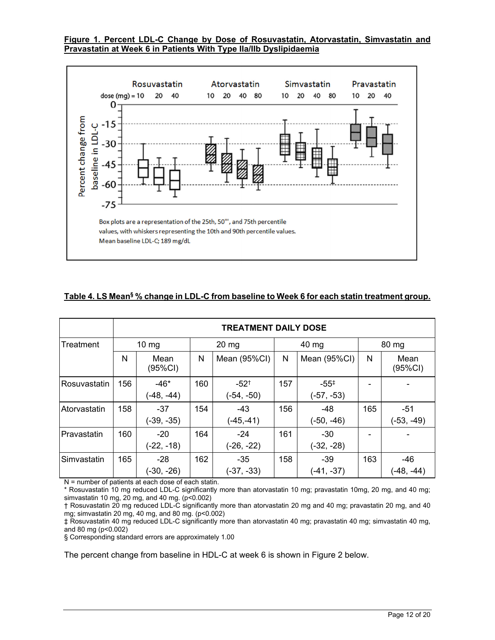## **Figure 1. Percent LDL-C Change by Dose of Rosuvastatin, Atorvastatin, Simvastatin and Pravastatin at Week 6 in Patients With Type IIa/IIb Dyslipidaemia**



# Table 4. LS Mean<sup>§</sup> % change in LDL-C from baseline to Week 6 for each statin treatment group.

|                     | <b>TREATMENT DAILY DOSE</b> |                        |     |                           |     |                                  |     |                       |  |
|---------------------|-----------------------------|------------------------|-----|---------------------------|-----|----------------------------------|-----|-----------------------|--|
| Treatment           |                             | $10 \, \text{mg}$      |     | $20 \text{ mg}$           |     | 40 mg                            |     | 80 mg                 |  |
|                     | N                           | Mean<br>(95%CI)        | N   | Mean (95%CI)              | N   | Mean (95%CI)                     | N   | Mean<br>(95%CI)       |  |
| <b>Rosuvastatin</b> | 156                         | $-46*$<br>$(-48, -44)$ | 160 | $-52^{+}$<br>$(-54, -50)$ | 157 | $-55^{\ddagger}$<br>$(-57, -53)$ |     |                       |  |
| <b>Atorvastatin</b> | 158                         | $-37$<br>$(-39, -35)$  | 154 | $-43$<br>$(-45,-41)$      | 156 | $-48$<br>$(-50, -46)$            | 165 | $-51$<br>$(-53, -49)$ |  |
| Pravastatin         | 160                         | $-20$<br>$(-22, -18)$  | 164 | $-24$<br>$(-26, -22)$     | 161 | $-30$<br>$(-32, -28)$            |     |                       |  |
| ISimvastatin        | 165                         | -28<br>$(-30, -26)$    | 162 | $-35$<br>$(-37, -33)$     | 158 | -39<br>$(-41, -37)$              | 163 | $-46$<br>(-48, -44)   |  |

N = number of patients at each dose of each statin.

\* Rosuvastatin 10 mg reduced LDL-C significantly more than atorvastatin 10 mg; pravastatin 10mg, 20 mg, and 40 mg; simvastatin 10 mg, 20 mg, and 40 mg. (p<0.002)

† Rosuvastatin 20 mg reduced LDL-C significantly more than atorvastatin 20 mg and 40 mg; pravastatin 20 mg, and 40 mg; simvastatin 20 mg, 40 mg, and 80 mg. (p<0.002)

‡ Rosuvastatin 40 mg reduced LDL-C significantly more than atorvastatin 40 mg; pravastatin 40 mg; simvastatin 40 mg, and 80 mg ( $p < 0.002$ )

§ Corresponding standard errors are approximately 1.00

The percent change from baseline in HDL-C at week 6 is shown in Figure 2 below.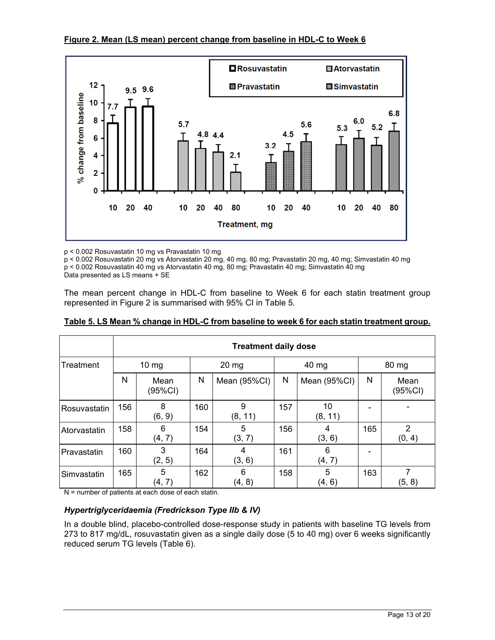



p < 0.002 Rosuvastatin 10 mg vs Pravastatin 10 mg

p < 0.002 Rosuvastatin 20 mg vs Atorvastatin 20 mg, 40 mg, 80 mg; Pravastatin 20 mg, 40 mg; Simvastatin 40 mg p < 0.002 Rosuvastatin 40 mg vs Atorvastatin 40 mg, 80 mg; Pravastatin 40 mg; Simvastatin 40 mg

Data presented as LS means + SE

The mean percent change in HDL-C from baseline to Week 6 for each statin treatment group represented in Figure 2 is summarised with 95% CI in Table 5.

|              | <b>Treatment daily dose</b> |                 |                 |              |       |               |       |                          |  |
|--------------|-----------------------------|-----------------|-----------------|--------------|-------|---------------|-------|--------------------------|--|
| Treatment    |                             | $10 \text{ mg}$ | $20 \text{ mg}$ |              | 40 mg |               | 80 mg |                          |  |
|              | N                           | Mean<br>(95%CI) | N               | Mean (95%CI) | N     | Mean (95%CI)  | N     | Mean<br>(95%CI)          |  |
| Rosuvastatin | 156                         | 8<br>(6, 9)     | 160             | 9<br>(8, 11) | 157   | 10<br>(8, 11) |       |                          |  |
| Atorvastatin | 158                         | 6<br>(4, 7)     | 154             | 5<br>(3, 7)  | 156   | 4<br>(3, 6)   | 165   | $\overline{2}$<br>(0, 4) |  |
| Pravastatin  | 160                         | 3<br>(2, 5)     | 164             | 4<br>(3, 6)  | 161   | 6<br>(4, 7)   |       |                          |  |
| Simvastatin  | 165                         | 5<br>(4, 7)     | 162             | 6<br>(4, 8)  | 158   | 5<br>(4, 6)   | 163   | 7<br>(5, 8)              |  |

**Table 5. LS Mean % change in HDL-C from baseline to week 6 for each statin treatment group.** 

N = number of patients at each dose of each statin.

## *Hypertriglyceridaemia (Fredrickson Type IIb & IV)*

In a double blind, placebo-controlled dose-response study in patients with baseline TG levels from 273 to 817 mg/dL, rosuvastatin given as a single daily dose (5 to 40 mg) over 6 weeks significantly reduced serum TG levels (Table 6).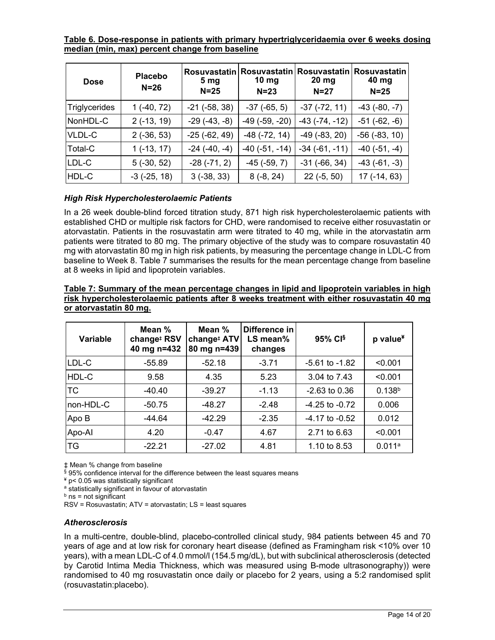**Table 6. Dose-response in patients with primary hypertriglyceridaemia over 6 weeks dosing median (min, max) percent change from baseline** 

| <b>Dose</b>          | <b>Placebo</b><br>$N=26$ | <b>Rosuvastatin</b><br>5 <sub>mg</sub><br>$N=25$ | 10 <sub>mg</sub><br>$N = 23$ | Rosuvastatin   Rosuvastatin  <br>$20$ mg<br>$N=27$ | <b>Rosuvastatin</b><br>40 mg<br>$N = 25$ |
|----------------------|--------------------------|--------------------------------------------------|------------------------------|----------------------------------------------------|------------------------------------------|
| <b>Triglycerides</b> | $1(-40, 72)$             | $-21$ ( $-58, 38$ )                              | $-37$ $(-65, 5)$             | $-37$ $(-72, 11)$                                  | $-43(-80, -7)$                           |
| NonHDL-C             | $2(-13, 19)$             | $-29(-43,-8)$                                    | $-49$ ( $-59$ , $-20$ )      | $-43(-74, -12)$                                    | $-51$ $(-62, -6)$                        |
| VLDL-C               | $2(-36, 53)$             | $-25$ ( $-62, 49$ )                              | $-48$ $(-72, 14)$            | $-49$ $(-83, 20)$                                  | $-56$ $(-83, 10)$                        |
| Total-C              | $1(-13, 17)$             | $-24(-40,-4)$                                    | $-40$ ( $-51$ , $-14$ )      | $-34$ $(-61, -11)$                                 | $-40$ $(-51, -4)$                        |
| LDL-C                | $5(-30, 52)$             | $-28(-71, 2)$                                    | $-45$ ( $-59, 7$ )           | $-31$ ( $-66, 34$ )                                | $-43(-61,-3)$                            |
| HDL-C                | $-3$ $(-25, 18)$         | $3(-38, 33)$                                     | $8(-8, 24)$                  | $22(-5, 50)$                                       | 17 (-14, 63)                             |

# *High Risk Hypercholesterolaemic Patients*

In a 26 week double-blind forced titration study, 871 high risk hypercholesterolaemic patients with established CHD or multiple risk factors for CHD, were randomised to receive either rosuvastatin or atorvastatin. Patients in the rosuvastatin arm were titrated to 40 mg, while in the atorvastatin arm patients were titrated to 80 mg. The primary objective of the study was to compare rosuvastatin 40 mg with atorvastatin 80 mg in high risk patients, by measuring the percentage change in LDL-C from baseline to Week 8. Table 7 summarises the results for the mean percentage change from baseline at 8 weeks in lipid and lipoprotein variables.

| Variable  | Mean %<br>change <sup>#</sup> RSV<br>40 mg n=432 | Mean %<br>change <sup>#</sup> ATV<br>80 mg n=439 | Difference in<br>$LS$ mean%<br>changes | 95% CI <sup>§</sup> | p value <sup>¥</sup> |
|-----------|--------------------------------------------------|--------------------------------------------------|----------------------------------------|---------------------|----------------------|
| LDL-C     | $-55.89$                                         | $-52.18$                                         | $-3.71$                                | $-5.61$ to $-1.82$  | < 0.001              |
| HDL-C     | 9.58                                             | 4.35                                             | 5.23                                   | 3.04 to 7.43        | < 0.001              |
| TC        | $-40.40$                                         | $-39.27$                                         | $-1.13$                                | $-2.63$ to 0.36     | 0.138 <sup>b</sup>   |
| non-HDL-C | $-50.75$                                         | $-48.27$                                         | $-2.48$                                | $-4.25$ to $-0.72$  | 0.006                |
| Apo B     | $-44.64$                                         | $-42.29$                                         | $-2.35$                                | $-4.17$ to $-0.52$  | 0.012                |
| Apo-Al    | 4.20                                             | $-0.47$                                          | 4.67                                   | 2.71 to 6.63        | < 0.001              |
| ТG        | $-22.21$                                         | $-27.02$                                         | 4.81                                   | 1.10 to 8.53        | 0.011a               |

**Table 7: Summary of the mean percentage changes in lipid and lipoprotein variables in high risk hypercholesterolaemic patients after 8 weeks treatment with either rosuvastatin 40 mg or atorvastatin 80 mg.** 

‡ Mean % change from baseline

 $\frac{6}{9}$  95% confidence interval for the difference between the least squares means

 $*$  p< 0.05 was statistically significant

a statistically significant in favour of atorvastatin

 $<sup>b</sup>$  ns = not significant</sup>

RSV = Rosuvastatin; ATV = atorvastatin; LS = least squares

## *Atherosclerosis*

In a multi-centre, double-blind, placebo-controlled clinical study, 984 patients between 45 and 70 years of age and at low risk for coronary heart disease (defined as Framingham risk <10% over 10 years), with a mean LDL-C of 4.0 mmol/l (154.5 mg/dL), but with subclinical atherosclerosis (detected by Carotid Intima Media Thickness, which was measured using B-mode ultrasonography)) were randomised to 40 mg rosuvastatin once daily or placebo for 2 years, using a 5:2 randomised split (rosuvastatin:placebo).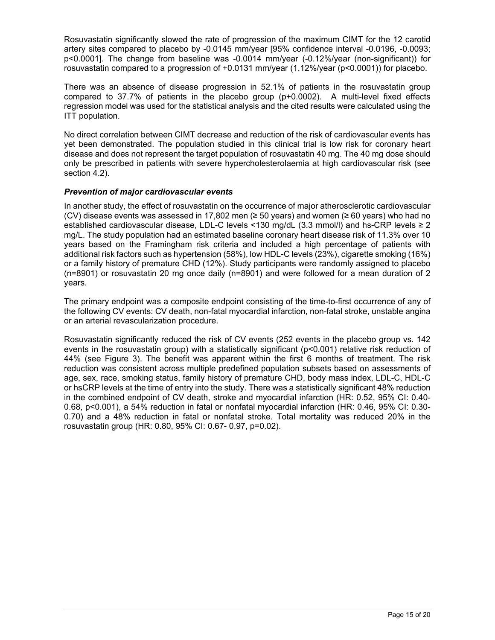Rosuvastatin significantly slowed the rate of progression of the maximum CIMT for the 12 carotid artery sites compared to placebo by -0.0145 mm/year [95% confidence interval -0.0196, -0.0093; p<0.0001]. The change from baseline was -0.0014 mm/year (-0.12%/year (non-significant)) for rosuvastatin compared to a progression of +0.0131 mm/year (1.12%/year (p<0.0001)) for placebo.

There was an absence of disease progression in 52.1% of patients in the rosuvastatin group compared to 37.7% of patients in the placebo group (p+0.0002). A multi-level fixed effects regression model was used for the statistical analysis and the cited results were calculated using the ITT population.

No direct correlation between CIMT decrease and reduction of the risk of cardiovascular events has yet been demonstrated. The population studied in this clinical trial is low risk for coronary heart disease and does not represent the target population of rosuvastatin 40 mg. The 40 mg dose should only be prescribed in patients with severe hypercholesterolaemia at high cardiovascular risk (see section 4.2).

## *Prevention of major cardiovascular events*

In another study, the effect of rosuvastatin on the occurrence of major atherosclerotic cardiovascular (CV) disease events was assessed in 17,802 men (≥ 50 years) and women (≥ 60 years) who had no established cardiovascular disease, LDL-C levels <130 mg/dL (3.3 mmol/l) and hs-CRP levels ≥ 2 mg/L. The study population had an estimated baseline coronary heart disease risk of 11.3% over 10 years based on the Framingham risk criteria and included a high percentage of patients with additional risk factors such as hypertension (58%), low HDL-C levels (23%), cigarette smoking (16%) or a family history of premature CHD (12%). Study participants were randomly assigned to placebo (n=8901) or rosuvastatin 20 mg once daily (n=8901) and were followed for a mean duration of 2 years.

The primary endpoint was a composite endpoint consisting of the time-to-first occurrence of any of the following CV events: CV death, non-fatal myocardial infarction, non-fatal stroke, unstable angina or an arterial revascularization procedure.

Rosuvastatin significantly reduced the risk of CV events (252 events in the placebo group vs. 142 events in the rosuvastatin group) with a statistically significant (p<0.001) relative risk reduction of 44% (see Figure 3). The benefit was apparent within the first 6 months of treatment. The risk reduction was consistent across multiple predefined population subsets based on assessments of age, sex, race, smoking status, family history of premature CHD, body mass index, LDL-C, HDL-C or hsCRP levels at the time of entry into the study. There was a statistically significant 48% reduction in the combined endpoint of CV death, stroke and myocardial infarction (HR: 0.52, 95% CI: 0.40- 0.68, p<0.001), a 54% reduction in fatal or nonfatal myocardial infarction (HR: 0.46, 95% CI: 0.30- 0.70) and a 48% reduction in fatal or nonfatal stroke. Total mortality was reduced 20% in the rosuvastatin group (HR: 0.80, 95% CI: 0.67- 0.97, p=0.02).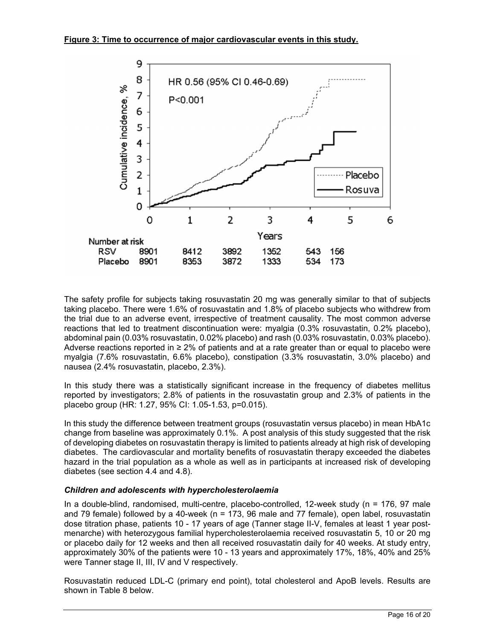

The safety profile for subjects taking rosuvastatin 20 mg was generally similar to that of subjects taking placebo. There were 1.6% of rosuvastatin and 1.8% of placebo subjects who withdrew from the trial due to an adverse event, irrespective of treatment causality. The most common adverse reactions that led to treatment discontinuation were: myalgia (0.3% rosuvastatin, 0.2% placebo), abdominal pain (0.03% rosuvastatin, 0.02% placebo) and rash (0.03% rosuvastatin, 0.03% placebo). Adverse reactions reported in ≥ 2% of patients and at a rate greater than or equal to placebo were myalgia (7.6% rosuvastatin, 6.6% placebo), constipation (3.3% rosuvastatin, 3.0% placebo) and nausea (2.4% rosuvastatin, placebo, 2.3%).

In this study there was a statistically significant increase in the frequency of diabetes mellitus reported by investigators; 2.8% of patients in the rosuvastatin group and 2.3% of patients in the placebo group (HR: 1.27, 95% CI: 1.05-1.53, p=0.015).

In this study the difference between treatment groups (rosuvastatin versus placebo) in mean HbA1c change from baseline was approximately 0.1%. A post analysis of this study suggested that the risk of developing diabetes on rosuvastatin therapy is limited to patients already at high risk of developing diabetes. The cardiovascular and mortality benefits of rosuvastatin therapy exceeded the diabetes hazard in the trial population as a whole as well as in participants at increased risk of developing diabetes (see section 4.4 and 4.8).

## *Children and adolescents with hypercholesterolaemia*

In a double-blind, randomised, multi-centre, placebo-controlled, 12-week study (n = 176, 97 male and 79 female) followed by a 40-week (n = 173, 96 male and 77 female), open label, rosuvastatin dose titration phase, patients 10 - 17 years of age (Tanner stage II-V, females at least 1 year postmenarche) with heterozygous familial hypercholesterolaemia received rosuvastatin 5, 10 or 20 mg or placebo daily for 12 weeks and then all received rosuvastatin daily for 40 weeks. At study entry, approximately 30% of the patients were 10 - 13 years and approximately 17%, 18%, 40% and 25% were Tanner stage II, III, IV and V respectively.

Rosuvastatin reduced LDL-C (primary end point), total cholesterol and ApoB levels. Results are shown in Table 8 below.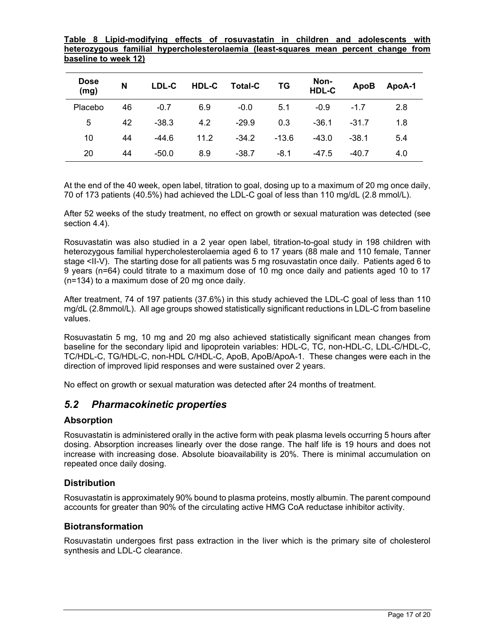**Table 8 Lipid-modifying effects of rosuvastatin in children and adolescents with heterozygous familial hypercholesterolaemia (least-squares mean percent change from baseline to week 12)** 

| <b>Dose</b><br>(mg) | N  | LDL-C   | HDL-C | <b>Total-C</b> | ΤG      | Non-<br>HDL-C | <b>ApoB</b> | ApoA-1 |
|---------------------|----|---------|-------|----------------|---------|---------------|-------------|--------|
| Placebo             | 46 | $-0.7$  | 6.9   | $-0.0$         | 5.1     | $-0.9$        | $-1.7$      | 2.8    |
| 5                   | 42 | $-38.3$ | 4.2   | $-29.9$        | 0.3     | $-36.1$       | $-31.7$     | 1.8    |
| 10                  | 44 | $-44.6$ | 11.2  | $-34.2$        | $-13.6$ | $-43.0$       | $-38.1$     | 5.4    |
| 20                  | 44 | $-50.0$ | 8.9   | $-38.7$        | $-8.1$  | $-47.5$       | $-40.7$     | 4.0    |

At the end of the 40 week, open label, titration to goal, dosing up to a maximum of 20 mg once daily, 70 of 173 patients (40.5%) had achieved the LDL-C goal of less than 110 mg/dL (2.8 mmol/L).

After 52 weeks of the study treatment, no effect on growth or sexual maturation was detected (see section 4.4).

Rosuvastatin was also studied in a 2 year open label, titration-to-goal study in 198 children with heterozygous familial hypercholesterolaemia aged 6 to 17 years (88 male and 110 female, Tanner stage <II-V). The starting dose for all patients was 5 mg rosuvastatin once daily. Patients aged 6 to 9 years (n=64) could titrate to a maximum dose of 10 mg once daily and patients aged 10 to 17 (n=134) to a maximum dose of 20 mg once daily.

After treatment, 74 of 197 patients (37.6%) in this study achieved the LDL-C goal of less than 110 mg/dL (2.8mmol/L). All age groups showed statistically significant reductions in LDL-C from baseline values.

Rosuvastatin 5 mg, 10 mg and 20 mg also achieved statistically significant mean changes from baseline for the secondary lipid and lipoprotein variables: HDL-C, TC, non-HDL-C, LDL-C/HDL-C, TC/HDL-C, TG/HDL-C, non-HDL C/HDL-C, ApoB, ApoB/ApoA-1. These changes were each in the direction of improved lipid responses and were sustained over 2 years.

No effect on growth or sexual maturation was detected after 24 months of treatment.

# *5.2 Pharmacokinetic properties*

## **Absorption**

Rosuvastatin is administered orally in the active form with peak plasma levels occurring 5 hours after dosing. Absorption increases linearly over the dose range. The half life is 19 hours and does not increase with increasing dose. Absolute bioavailability is 20%. There is minimal accumulation on repeated once daily dosing.

## **Distribution**

Rosuvastatin is approximately 90% bound to plasma proteins, mostly albumin. The parent compound accounts for greater than 90% of the circulating active HMG CoA reductase inhibitor activity.

## **Biotransformation**

Rosuvastatin undergoes first pass extraction in the liver which is the primary site of cholesterol synthesis and LDL-C clearance.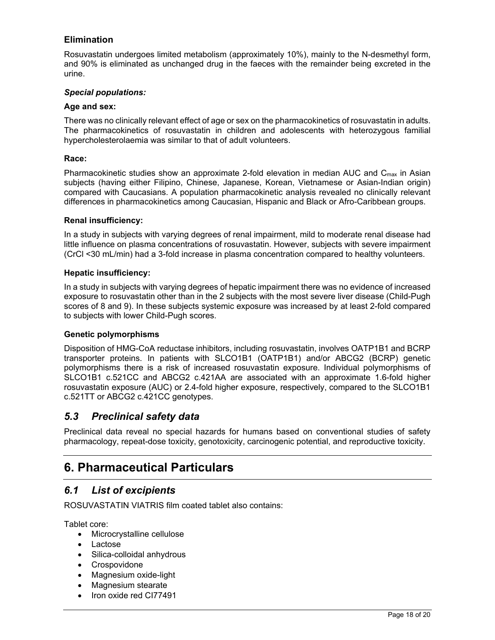# **Elimination**

Rosuvastatin undergoes limited metabolism (approximately 10%), mainly to the N-desmethyl form, and 90% is eliminated as unchanged drug in the faeces with the remainder being excreted in the urine.

## *Special populations:*

#### **Age and sex:**

There was no clinically relevant effect of age or sex on the pharmacokinetics of rosuvastatin in adults. The pharmacokinetics of rosuvastatin in children and adolescents with heterozygous familial hypercholesterolaemia was similar to that of adult volunteers.

#### **Race:**

Pharmacokinetic studies show an approximate 2-fold elevation in median AUC and  $C_{\text{max}}$  in Asian subjects (having either Filipino, Chinese, Japanese, Korean, Vietnamese or Asian-Indian origin) compared with Caucasians. A population pharmacokinetic analysis revealed no clinically relevant differences in pharmacokinetics among Caucasian, Hispanic and Black or Afro-Caribbean groups.

#### **Renal insufficiency:**

In a study in subjects with varying degrees of renal impairment, mild to moderate renal disease had little influence on plasma concentrations of rosuvastatin. However, subjects with severe impairment (CrCl <30 mL/min) had a 3-fold increase in plasma concentration compared to healthy volunteers.

#### **Hepatic insufficiency:**

In a study in subjects with varying degrees of hepatic impairment there was no evidence of increased exposure to rosuvastatin other than in the 2 subjects with the most severe liver disease (Child-Pugh scores of 8 and 9). In these subjects systemic exposure was increased by at least 2-fold compared to subjects with lower Child-Pugh scores.

#### **Genetic polymorphisms**

Disposition of HMG-CoA reductase inhibitors, including rosuvastatin, involves OATP1B1 and BCRP transporter proteins. In patients with SLCO1B1 (OATP1B1) and/or ABCG2 (BCRP) genetic polymorphisms there is a risk of increased rosuvastatin exposure. Individual polymorphisms of SLCO1B1 c.521CC and ABCG2 c.421AA are associated with an approximate 1.6-fold higher rosuvastatin exposure (AUC) or 2.4-fold higher exposure, respectively, compared to the SLCO1B1 c.521TT or ABCG2 c.421CC genotypes.

# *5.3 Preclinical safety data*

Preclinical data reveal no special hazards for humans based on conventional studies of safety pharmacology, repeat-dose toxicity, genotoxicity, carcinogenic potential, and reproductive toxicity.

# **6. Pharmaceutical Particulars**

# *6.1 List of excipients*

ROSUVASTATIN VIATRIS film coated tablet also contains:

Tablet core:

- Microcrystalline cellulose
- Lactose
- Silica-colloidal anhydrous
- Crospovidone
- Magnesium oxide-light
- Magnesium stearate
- Iron oxide red CI77491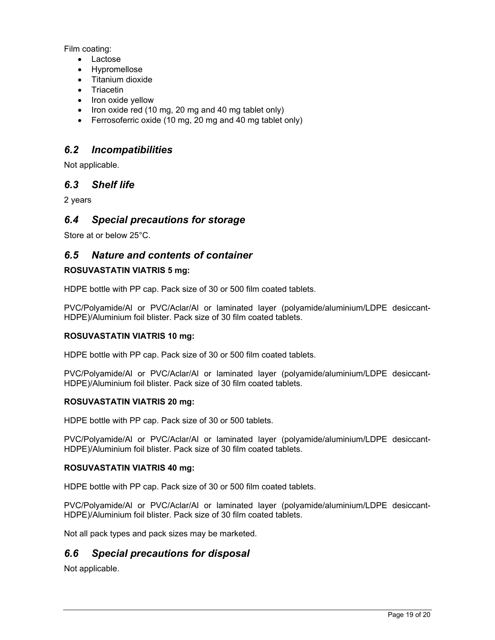Film coating:

- Lactose
- Hypromellose
- Titanium dioxide
- **Triacetin**
- Iron oxide yellow
- $\bullet$  Iron oxide red (10 mg, 20 mg and 40 mg tablet only)
- Ferrosoferric oxide (10 mg, 20 mg and 40 mg tablet only)

# *6.2 Incompatibilities*

Not applicable.

# *6.3 Shelf life*

2 years

# *6.4 Special precautions for storage*

Store at or below 25°C.

# *6.5 Nature and contents of container*

# **ROSUVASTATIN VIATRIS 5 mg:**

HDPE bottle with PP cap. Pack size of 30 or 500 film coated tablets.

PVC/Polyamide/Al or PVC/Aclar/Al or laminated layer (polyamide/aluminium/LDPE desiccant-HDPE)/Aluminium foil blister. Pack size of 30 film coated tablets.

## **ROSUVASTATIN VIATRIS 10 mg:**

HDPE bottle with PP cap. Pack size of 30 or 500 film coated tablets.

PVC/Polyamide/Al or PVC/Aclar/Al or laminated layer (polyamide/aluminium/LDPE desiccant-HDPE)/Aluminium foil blister. Pack size of 30 film coated tablets.

## **ROSUVASTATIN VIATRIS 20 mg:**

HDPE bottle with PP cap. Pack size of 30 or 500 tablets.

PVC/Polyamide/Al or PVC/Aclar/Al or laminated layer (polyamide/aluminium/LDPE desiccant-HDPE)/Aluminium foil blister. Pack size of 30 film coated tablets.

## **ROSUVASTATIN VIATRIS 40 mg:**

HDPE bottle with PP cap. Pack size of 30 or 500 film coated tablets.

PVC/Polyamide/Al or PVC/Aclar/Al or laminated layer (polyamide/aluminium/LDPE desiccant-HDPE)/Aluminium foil blister. Pack size of 30 film coated tablets.

Not all pack types and pack sizes may be marketed.

# *6.6 Special precautions for disposal*

Not applicable.